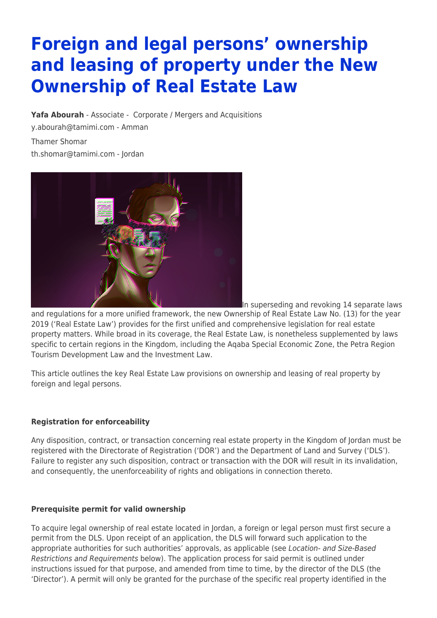# **Foreign and legal persons' ownership and leasing of property under the New Ownership of Real Estate Law**

**[Yafa Abourah](https://www.tamimi.com/find-a-lawyer/yafa-abourah/)** - Associate - [Corporate / Mergers and Acquisitions](https://www.tamimi.com/client-services/practices/corporate-mergers-acquisitions/) [y.abourah@tamimi.com](mailto:y.abourah@tamimi.com) - [Amman](https://www.tamimi.com/locations/jordan/)

Thamer Shomar [th.shomar@tamimi.com](mailto:th.shomar@tamimi.com) - Jordan



In superseding and revoking 14 separate laws

and regulations for a more unified framework, the new Ownership of Real Estate Law No. (13) for the year 2019 ('Real Estate Law') provides for the first unified and comprehensive legislation for real estate property matters. While broad in its coverage, the Real Estate Law, is nonetheless supplemented by laws specific to certain regions in the Kingdom, including the Aqaba Special Economic Zone, the Petra Region Tourism Development Law and the Investment Law.

This article outlines the key Real Estate Law provisions on ownership and leasing of real property by foreign and legal persons.

# **Registration for enforceability**

Any disposition, contract, or transaction concerning real estate property in the Kingdom of Jordan must be registered with the Directorate of Registration ('DOR') and the Department of Land and Survey ('DLS'). Failure to register any such disposition, contract or transaction with the DOR will result in its invalidation, and consequently, the unenforceability of rights and obligations in connection thereto.

### **Prerequisite permit for valid ownership**

To acquire legal ownership of real estate located in Jordan, a foreign or legal person must first secure a permit from the DLS. Upon receipt of an application, the DLS will forward such application to the appropriate authorities for such authorities' approvals, as applicable (see Location- and Size-Based Restrictions and Requirements below). The application process for said permit is outlined under instructions issued for that purpose, and amended from time to time, by the director of the DLS (the 'Director'). A permit will only be granted for the purchase of the specific real property identified in the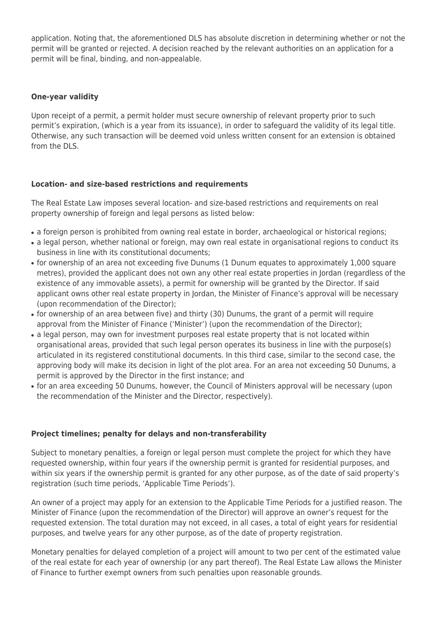application. Noting that, the aforementioned DLS has absolute discretion in determining whether or not the permit will be granted or rejected. A decision reached by the relevant authorities on an application for a permit will be final, binding, and non-appealable.

## **One-year validity**

Upon receipt of a permit, a permit holder must secure ownership of relevant property prior to such permit's expiration, (which is a year from its issuance), in order to safeguard the validity of its legal title. Otherwise, any such transaction will be deemed void unless written consent for an extension is obtained from the DLS.

## **Location- and size-based restrictions and requirements**

The Real Estate Law imposes several location- and size-based restrictions and requirements on real property ownership of foreign and legal persons as listed below:

- a foreign person is prohibited from owning real estate in border, archaeological or historical regions;
- a legal person, whether national or foreign, may own real estate in organisational regions to conduct its business in line with its constitutional documents;
- for ownership of an area not exceeding five Dunums (1 Dunum equates to approximately 1,000 square metres), provided the applicant does not own any other real estate properties in Jordan (regardless of the existence of any immovable assets), a permit for ownership will be granted by the Director. If said applicant owns other real estate property in Jordan, the Minister of Finance's approval will be necessary (upon recommendation of the Director);
- for ownership of an area between five) and thirty (30) Dunums, the grant of a permit will require approval from the Minister of Finance ('Minister') (upon the recommendation of the Director);
- a legal person, may own for investment purposes real estate property that is not located within organisational areas, provided that such legal person operates its business in line with the purpose(s) articulated in its registered constitutional documents. In this third case, similar to the second case, the approving body will make its decision in light of the plot area. For an area not exceeding 50 Dunums, a permit is approved by the Director in the first instance; and
- for an area exceeding 50 Dunums, however, the Council of Ministers approval will be necessary (upon the recommendation of the Minister and the Director, respectively).

# **Project timelines; penalty for delays and non-transferability**

Subject to monetary penalties, a foreign or legal person must complete the project for which they have requested ownership, within four years if the ownership permit is granted for residential purposes, and within six years if the ownership permit is granted for any other purpose, as of the date of said property's registration (such time periods, 'Applicable Time Periods').

An owner of a project may apply for an extension to the Applicable Time Periods for a justified reason. The Minister of Finance (upon the recommendation of the Director) will approve an owner's request for the requested extension. The total duration may not exceed, in all cases, a total of eight years for residential purposes, and twelve years for any other purpose, as of the date of property registration.

Monetary penalties for delayed completion of a project will amount to two per cent of the estimated value of the real estate for each year of ownership (or any part thereof). The Real Estate Law allows the Minister of Finance to further exempt owners from such penalties upon reasonable grounds.